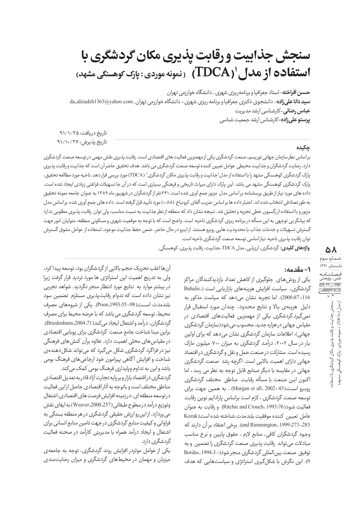## **سنجش جذابيت ورقابت پذيري مكان گردشگري با (ÖćȖĀĊ÷ǴÛĈĄô ñ×Ìǹ : ĉÕץĀĆǼĄÿǼ ) (TDCA)<sup>۱</sup> ùÖĀȎË ąÕÌȬDzÜË**

حسن افراخته-استاد جغرافیا و برنامه ریزی شهری ، دانشگاه خوارزمی تهران **سید دانا علیزاده**- دانشجوی دکتری جغرافیا و برنامه ریزی شهری- دانشگاه خوارزمی تهران .da\_alizadeh1363@yahoo.com <mark>عباس رضائی</mark>-کارشناسی ارشد مدیریت **پرستوعلیزاده**–کارشناس ارشد جمعیت شناسی

<u> 1989 - Andrea Station Barbara, actor a component de la componentación de la componentación de la componentació</u>

تاريخ دريافت: ۹۱/۱/۲۵ تاريخ پذيرش: ۹۱/۱۰/۲۷

## جکیده

براساس نظرسازمان جهاني توريسم، صنعت گردشگري يكي ازمهمترين فعاليت هاي اقتصادي است. رقابت پذيري نقش مهمي درتوسعه صنعت گردشگري دارد، رضايت گردشگران و جذابيت محيطي عوامل تعيين كننده توسعه صنعت گردشگري مي باشد. هدف تحقيق حاضرآن است كه جذابيت ورقابت پذيري یارک گردشگری کوهسنگی مشهد را با استفاده از مدل "جذابیت و رقابت پذیری مکان گردشگری" (TDCA) مورد بررسی قرار دهد. ناحیه مورد مطالعه تحقیق، پارک گردشگری کوهسنگی مشهد می باشد. این پارک دارای میراث تاریخی و فرهنگی بسیاری است که در آن جا تسهیلات فراغتی زیادی ایجاد شده است. داده های مورد نیاز از طریق پرسشنامه براساس مدل مزبور جمع آوری شده است. ۲۴۱نفر از گردشگران در شهریور ماه ۱۳۸۹ به عنوان جامعه نمونه تحقیق به طورتصادفی انتخاب شده اند. اعتبارداده ها براساس ضریب آلفای کرونباخ (۰٫۸۸) مورد تأیید قرار گرفته است. داده های جمع آوری شده براساس مدل مزبور و با استفاده از رگسیون خطی تجزیه و تحلیل شد. نتیجه نشان داد که منطقه از نظر جذابیت به نسبت مناسب، ولی توان رقابت پذیری مطلوبی ندارد که بیانگر بی توجهی به این مسأله در برنامه ریزی گردشگری ناحیه است. واضح است که با توجه به موقعیت شهری و مسکونی منطقه، متولیان امور جهت گسترش تسهيلات و خدمات جذاب با محدوديت هايي روبرو هستند. از اينرو در حال حاضر، ضمن حفظ جذابيت موجود، استفاده از عوامل مشوق گسترش توان رقابت پذيري ناحيه نيازاساسي توسعه صنعت گردشگري ناحيه است.

<u> 1989 - Johann Barbara, martxa alemaniar argamento de la contrada de la contrada de la contrada de la contrada</u>

**واژەهای کلیدی:** گردشگری، ارزیابی، مدل TDCA، جذابیت، رقابت پذیری، کوهسنگی.

#### **:ĆĀÖșĀ -۱**

یکی از روش های جلوگیری از کاهش تعداد بازدیدکنندگان مراکز Buhalis,) گردشگری، سیاست افزایش هزینههای بازاریابی است Ćǐ ץôǥĀ džÜÌǍÜ Ćô ÖĈÕĊĀ ȔÌǮǔ ĆǐØǞǒ ÌĀË .(2000:87-116 دليل هزينهى بالا و نتايج محدود، چندان مورد استقبال قرار نمیگیرد.گردشگری یکی از مهمترین فعالیتهای اقتصادی در مقیاس جهانی درهزاره جدید، محسوب می شود(سازمان گردشگری جهانی). اطلاعات سازمان گردشگری نشان میدهد که برای اولین بار در سال ۲۰۰۲، درآمد گردشگری به میزان ۷۰۰ میلیون مارک رسیده است. مشارکت در صنعت حمل و نقل و گردشگری در اقتصاد جهانی دارای اهمیت بالایی است. اگرچه رشد صنعت گردشگری جهانی در مقایسه با دیگر صنایع قابل توجه به نظر می رسد ، اما اکنون ایـن صنعت با مسأله رقابت مناطق مختلف گردشگری روبرو است(43 :2002 (Morgan et all) . به همين جهت براي توسعه صنعت گردشگري ، لازم است براساس پارادايم نوين رقابت فعاليت شود(76: Ritchie and Crouch, 1993) و رقابت به عنوان عامل تعيين كننده موفقيت بلندمدت شناخته شده است(Kozak Ćô Öǔ×ËÕ ȔƸ Øȷ ÕÌȅNJèË ĊǣØȷ .(and Rimmington, 1999:273-283 وجود گردشگران كافى، منابع لازم ، حقوق پايين و نرخ مناسب مبادلات ميتواند رقابت پذيري صنعت گردشگري را تضمين و به Bordas, 1994:3-)قوفيق صنعت بين المللي گردشگري منجر شود(-3.1994 9). این نگرش با شکل *گ*یری استراتژی و سیاستهایی که هدف

آنها اغلب تحريک حجم بالايي از گردشگران بود، توسعه پيدا کرد، ولی به تدریج اهمیت این استراتژی ها مورد تردید قرار گرفت زیرا در بیشتر موارد به نتایج مورد انتظار منجر نگردید. شواهد تجربی نیز نشان داده است که تدوام رقابتپذیری مستلزم تضمین سود بلندمدت اسـت(98–55: Poon,1993). يكي از شيوههاي مصرف محیط، توسعه گردشگری می باشد که با عرضه محیط برای مصرف گردشگران، درآمد و اشتغال ایجاد می کند( Briedenhann,2004,71). براین مبنا شناخت جامع صنعت گردشگری برای پویایی اقتصادی در مقیاس های محلی اهمیت دارد. علاوه برآن کنش های فرهنگی نیز در فراگرد گردشگری شکل میگیرد که میتواند شکل دهندهی شناخت و افزایش آگاهی پیرامون خود ارجاعی های فرهنگ بومی باشد واین به تداوم وپایداری فرهنگ بومی کمک میکند.

گردشگری دراقتصاد بازار وبرپایه تجارت آزاد قادربه تعدیل اقتصادی مناطق مختلف است و باتوجه به آثاراقتصادى حاصل ازاين فعاليت در توسعه منطقه اى،درزمينه افزايش فرصت هاى اقتصادى،اشتغال وتوزيع درآمد در سطوح طبقاتي ( 257، Weaver,2000) به ايفاي نقش می پردازد. ازاین رو ارزش حقیقی گردشگری در هر منطقه بستگی به فراوانی و کیفیت منابع گردشگری در جهت تامین منابع انسانی برای اشتغال و ایجاد درآمد همراه با مدیریتی کارآمد در صحنه فعالیت گردشگر*ی* دارد.

یکی از عوامل موثردر افزایش روند گردشگری، توجه به جامعهی میزبان و مهمان در محیطهای گردشگری و میزان رضایتمندی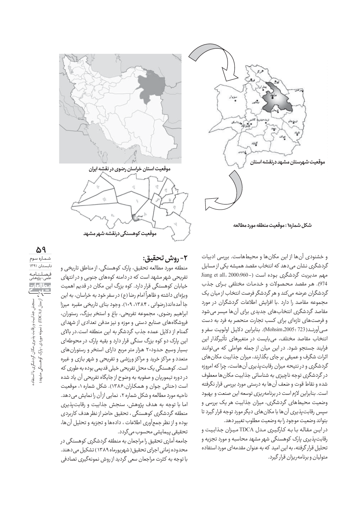

<mark>شكل شماره( : موقعیت منطق</mark>ه مورد مطالعه

و خشنودی آنها از این مکانها و محیطهاست. بررسی ادبیات گردشگری نشان میدهد که انتخاب مقصد همیشه یکی از مسایل Jiang et all, 2000:960-) مهم مديريت گردشگرى بوده است 974). هر مقصد محصولات و خدمات مختلفی برای جذب گردشگران عرضه میکند و هر گردشگر فرصت انتخاب از میان یک مجموعه مقاصد را دارد .با افزایش اطلاعات گردشگران در مورد مقاصد گردشگری انتخابهای جدیدی برای آنها میسر می شود و فرصتهای تازهای برای کسب تجارت منحصر به فرد به دست مـِي آورنـد( 723 : 2005. Mohsim). بنابراين دلايـل اولويت سفر و انتخاب مقاصد مختلف، مىبايست در متغيرهاى تأثيرگذار اين فرایند جستجو شود. در این میان از جمله عواملی که میتوانند اثرات شگرف و عمیقی بر جای بگذارند، میزان جذابیت مکان های گردشگری و در نتیحه میزان رقابت پذیری آن هاست، چرا که امروزه در گردشگری توجه ناچیزی به شناسائی جذابیت مکان ها معطوف شده و نقاط قوت و ضعف آنها به درستی مورد بررسی قرار نگرفته است. بنابراین لازم است در برنامهریزی توسعه این صنعت و بهبود وضعیت محیطهای گردشگری، میزان جذابیت هر یک بررسی و سپس رقابت پذیری آن ها با مکان های دیگر مورد توجه قرار گیرد تا بتواند وضعيت موجود رابه وضعيت مطلوب تغيير دهد.

در ايـن مقاله با به كارگيرى مدل TDCA ميـزان جذابيت و رقابت پذیری پارک کوهسنگی شهر مشهد محاسبه و مورد تجزیه و تحلیل قرار گرفته، به این امید که به عنوان مقدمه ای مورد استفاده متولیان و برنامهریزان قرار گیرد.



## **:ȟǡșÓǦȀă× -۲**

منطقه مورد مطالعه تحقیق، پارک کوهسنگی، از مناطق تاریخی و تفریحی شهر مشهد است که در دامنه کوههای جنوبی و در انتهای خیابان کوهسنگی قرار دارد. کوه بزرگ این مکان در قدیم اهمیت شیت کے ترکیب کے کرکٹ کے کرشتی<br>ویژهای داشته و ظاهراً امام رضا (ع) در سفر خود به خراسان، به این جا آمدهاند(رضوانی ، ۱۳۸۴، ۱۰۹). وجود بنای تاریخی مقبره میرزا ابراهيم رضوى، مجموعه تفريحي، باغ و استخر بزرگ، رستوران، فروشگاههای صنایع دستی و موزه و نیز مدفن تعدادی از شهدای گمنام از دلایل عمده جذب گردشگر به این منطقه است.در بالای این پارک دو کوه بزرگ سنگی قرار دارد و بقیه پارک در محوطهای بسیار وسیع حدود۲۰ هزار متر مربع دارای استخر و رستوران های متعدد و مراکز خرید و مراکز ورزشی و تفریحی و شهر بازی و غیره است. کوهسنگی یک محل تفریحی خیلی قدیمی بوده به طوری که در دوره تیموریان و صفویه به وضوح از جایگاه تفریحی آن یاد شده است (حنائی جوان و همکاران،۱۳۸۶). شکل شماره ۰، موقعیت ناحیه مورد مطالعه و شکل شماره ۲، نمایی از آن را نمایش می دهد. اما با توجه به هدف پژوهش، سنجش جذابيت و رقابتيذيري منطقه گردشگری کوهسنگی ، تحقیق حاضر از نظر هدف کاربردی بوده و از نظر جمع آوري اطلاعات ، دادهها و تجزيه و تحليل آنها، تحقیقی پیمایشی محسوب میگردد.

جامعه آماري تحقيق را مراجعان به منطقه گردشگري کوهسنگي در محدوده زمانی اجرای تحقیق ( شهریورماه ۱۳۸۹) تشکیل می دهند. با توجه به كثرت مراجعان سعى گرديد از روش نمونهگيرى تصادفى

**۵۹** شـمـاره سوم .<br>نابستان ۱۳۹۱ فصلنامه علمی-پژوهشی سنجش جذابيت و رقابت پذيري مكان گردشگري با استفاده ازمدل((DCA) (نمونه موردي؛ پارک کوهسنگي مشهد ازمدل (CA)۱ (نمونه موردي : پارک کوهسنگي مشهد) سنجش جذابيت ورقابت پذيرى مكان گردشگرى با استفاد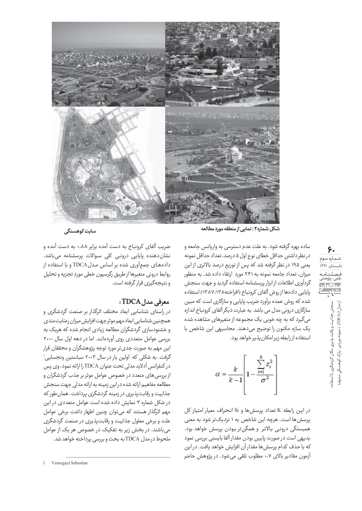

**ĆçüÌãĀÕץĀĆșãǠĀǺËĠɌÌÿǨ : ۲ą×Ìÿȃúóȃ Ċ÷ǠÛĈĄô ǚǩÌÜ**

ساده بهره گرفته شود. به علت عدم دسترسی به واریانس جامعه و در نظر داشتن حداقل خطاى نوع اول ۵ درصد، تعداد حداقل نمونه یعنی ۱۹۵ در نظر گرفته شد که پس از توزیع درصد بالاتری از این میزان، تعداد جامعه نمونه به ۲۴۱ مورد ارتقاء داده شد. به منظور گردآوری اطلاعات از ابزار پرسشنامه استفاده گردید و جهت سنجش پایایی دادهها از روش آلفای کرونباخ (افراخته۱۳۸۷:۱۳۸۸) استفاده شده که روش عمده برآورد ضریب پایایی و سازگاری است که مبین سازگاری درونی مدل می باشد. به عبارت دیگر آلفای کرونباخ اندازه میگیرد که به چه خوبی یک مجموعه از متغیرهای مشاهده شده يک سازه مكنون را توضيح مى دهند. محاسبهى اين شاخص با استفاده از رابطه زیر امکان یذیر خواهد بود.

$$
\alpha = \frac{k}{k-1} \left[ 1 - \frac{\sum_{i=1}^{k} s_i^2}{\sigma^2} \right]
$$

در اين رابطه K تعداد پرسشها و Si انحراف معيار امتياز كل پرسش ها است. هرچه این شاخص به ۱ نزدیکتر شود به معنی همبستگی درونی بالاتر و همگنتر بودن پرسش خواهد بود. بديهي است در صورت پايين بودن مقدار آلفا بايستي بررسي نمود که با حذف کدام پرسش ها مقدار آن افزایش خواهد یافت. در این آزمون مقادیر بالای ۰٫۷ مطلوب تلقی میشود. در پژوهش حاضر

ضریب آلفای کرونباخ به دست آمده برابر ۰٫۸۸ به دست آمده و نشان دهنده پایایی درونی کلی سوالات پرسشنامه میباشد. دادههای جمعآوری شده بر اساس مدل TDCA و با استفاده از روابط دروني متغيرها از طريق رگرسيون خطي مورد تجزيه و تحليل و نتيجهگيري قرار گرفته است.

#### *معرفي مدل TDCA***:**

در راستای شناسایی ابعاد مختلف اثرگذار بر صنعت گردشگری و همچنین شناسایی ابعاد مهم موثر جهت افزایش میزان رضایت مندی و خشنودسازی گردشگران مطالعه زیادی انجام شده که هریک به بررسی عوامل متعددی روی آوردهاند. اما در دهه اول سال ۲۰۰۰ این مهم به صورت جدیتر مورد توجه پژوهشگران و محققان قرار گرفت. به شکلی که اولین بار در سال ۲۰۰۳ سباستین ونجسایی` در كنفرانس آدلايد مدلي تحت عنوان TDCA را ارائه نمود. وي يس از بررسی های متعدد در خصوص عوامل موثر بر جذب گردشگران و مطالعه مفاهيم ارائه شده دراين زمينه به ارائه مدلي جهت سنجش جذابيت و رقابت پذيري در زمينه گردشگري پرداخت. همان طور كه در شکل شماره ۳ نمایش داده شده است عوامل متعددی در این مهم اثرگذار هستند که میتوان چنین اظهار داشت برخی عوامل علت و برخی معلول جذابیت و رقابت پذیری در صنعت گردشگری می باشند. در بخش زیر به تفکیک در خصوص هر یک از عوامل ملحوظ در مدل TDCA به بحث و بررسی پرداخته خواهد شد.

**۶۰** شـمـاره سوم .<br>نابستان ۱۳۹۱ فصلنامه علمی-پژوهشی سنجش جذابیت و رقابت پذیری مکان گردشگری با استفاد<br>از مدل (۱DCA) ( نمونه موردی ؛ پارک کوهسنگی مشهد) سنجش جذابيت ورقابت يذيري مكان گردشگري با استفاده از مدل (TDCA) ( نمونه موردي : یارک کوهسنگے <sub>)</sub> مشهد)

 <sup>1</sup> Vensegayi Sebastian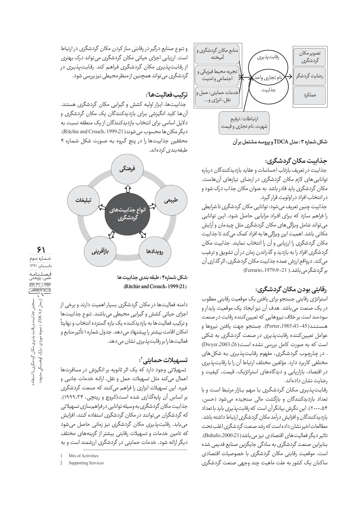

نشکل شماره ۳ : مدل TDCA و پروسه مشتمل بر آن

## جذابيت مكان گردشگرى:

جذابيت در تعريف بازتاب احساسات و عقايد بازديدكنندگان درباره توانایے های لازم مکان گردشگری در ارضای نیازهای آن هاست. مکان گردشگری باید قادر باشد به عنوان مکان جذاب درک شود و در انتخاب افراد در اولويت قرار گيرد.

جذابيت چنين تعريف مي شود: توانايي مكان گردشگري تا شرايطي را فراهم سازد که برای افـراد مزایایی حاصل شود. ایـن توانایی می تواند شامل ویژگی های مکان گردشگری مثل چیدمان و آرایش مکانی باشد. اهمیت این ویژگی ها به افراد کمک می کند تا جذابیت مکان گردشگری را ارزیابی و آن را انتخاب نمایند. جذابیت مکان گردشگري افراد را به بازديد و گذراندن زمان در آن تشويق و ترغيب می کند. درواقع ارزش عمده جذابیت مکان گردشگری، اثر گذاری آن بر گردشگر می باشد.( Ferrario, 1979:9−21)

#### **رقابتي بودن مكان گردشگري:**

استراتژی رقابتی جستجو برای یافتن یک موقعیت رقابتی مطلوب ذر يک صنعت مي باشد. هدف آن نيز ايجاد يک موقعيت پايدار و سودمند است بر خلاف نیروهایی که تعیین کننده رقابت در صنعت هستند(45–43:29orter,1985). جستجو جهت يافتن نيروها و عوامل تعیین کننده رقابت پذیری در صنعت گردشگری به شکلی است كه به صورت كامل بررسى نشده است(26: Dwyer,2003) . در چارچوب گردشگرى، مفهوم رقابتپذيرى به شكل هاى مختلفی کاربرد دارد. مؤلفین مختلف ارتباط آن را با رقابت پذیری در اقتصاد، بازاریابی و دیدگاههای استراتژیک، قیمت، کیفیت و رضایت نشان دادهاند.

رقابت يذيرى مكان گردشگرى با سهم بازار مرتبط است و با تعداد بازدیدکنندگان و بازگشت مالی سنجیده میشود (حسن، ۲۰۰۰،۵۴). این نگرش بیانگرآن است که رقابت یذیری باید با تعداد بازديدكنندگان وافزايش درآمد مكان گردشگرى ارتباط داشته باشد. مطالعات اخير نشان داده است كه رشد صنعت گردشگرى اغلب تحت تاثير ديگر فعاليت هاى اقتصادى نيز مى باشد(21: Buhalis,2000). بنابراین صنعت گردشگری به سادگی جایگزین صنایع قدیمی شده است. موقعیت رقابتی مکان گردشگری با خصوصیات اقتصادی ساكنان یک کشور به علت ماهیت چند وجهی صنعت گردشگری

و تنوع صنايع درگير در رقابتي ساز كردن مكان گردشگري در ارتباط است. ارزیابی اجزای حیاتی مکان گردشگری می تواند درک بهتری از رقابتپذیری مکان گردشگری فراهم کند. رقابتپذیری در گردشگری می تواند همچنین از منظر محیطی نیز بررسی شود.

## تر*ك*يب فعاليت ها':

خذابیتها، ابزار اولیه کشش و گیرایی مکان گردشگری هستند. آنها کلید انگیزشی برای بازدیدکنندگان یک مکان گردشگری و دلایل اساسی برای انتخاب بازدیدکنندگان از یک منطقه نسبت به ديگر مكان ها محسوب مي شوند( Ritchie and Crouch, 1999:21). محققين جذابيتها را در ينج گروه به صورت شكل شماره ۴ طبقه بندی کردهاند.



**۶۱** شـمـاره سوم تابستان ۱۳۹۱ فصلنامه علمی-پژوهشی سنجش جذابيت و رقابت پذيري مكان گردشگري با استفاده ازمدل (CA)۱ (نمونه موردي : پارک کوهسنگي مشهد) سنجش جذابیت و رقابت پذیری مکان گردشگری با استفاد<br>زمدل (IDCA) ( نمونه موردی : پارک کوهسنگی مشهد) ، جذابیت و رقابت پذیری مکان گردشگری با استفاد

نشكل شما<sub>ن</sub>ه۴ : طبقه بندي جذابيت ها **(Ritchie and Crouch, 1999:21)** 

دامنه فعالیتها در مکان گردشگری بسیار اهمیت دارند و برخی از اجزای حیاتی کشش و گیرایی محیطی می باشند. تنوع جذابیت ها و تركيب فعاليتها به بازديدكننده يك بازه گسترده انتخاب و نهايتاً امکان اقامت بیشتر را پیشنهاد میدهد. جدول شماره ۱ تأثیر منابع و فعاليت ها را بر رقابت پذيرى نشان مى دهد.

#### تسهيلات *ح*مايتى<sup>٬</sup>:

تسهیلاتی وجود دارد که یک اثر ثانویه بر انگیزش در مسافرتها اعمال میکند مثل تسهیلات حمل و نقل، ارائه خدمات جانبی و غیره. این تسهیلات ابزاری را فراهم میکنند که صنعت گردشگری بر اساس آن پایهگذاری شده است(کروچ و ریتچی، ۱۹۹۹،۳۴). جذابیت مکان گردشگری به وسیله توانایی درفراهم سازی تسهیلاتی که گردشگران می توانند در مکان گردشگری استفاده کنند، افزایش می یابد. رقابت پذیری مکان گردشگری نیز زمانی حاصل میشود که تامین خدمات و تسهیلات رقابتی بیشتر از گزینههای مختلف دیگر ارائه شود. خدمات حمایتی در گردشگری ارزشمند است و به

Mix of Activities

 <sup>2</sup> Supporting Services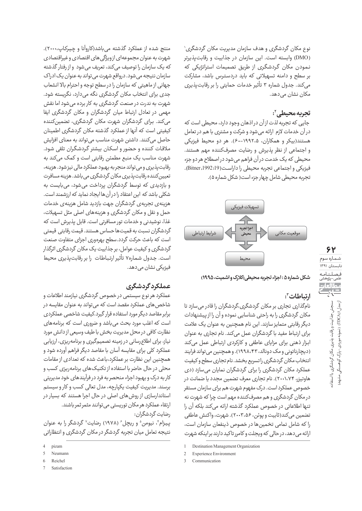نوع مکان گردشگری و هدف سازمان مدیریت مکان گردشگری` (DMO) وابسته است. این سازمان در جذابیت و رقابتپذیرتر نمودن مکان گردشگری از طریق تصمیمات استراتژیکی که بر سطح و دامنه تسهيلاتى كه بايد دردسترس باشد، مشاركت میکند. جدول شماره ۳ تأثیر خدمات حمایتی را بر رقابت پذیری مکان نشان می دهد.

## تجربه محیطی َ':

جایی که تجربه لذت ازآن دراذهان وجود دارد، محیطی است که در آن خدمات لازم ارائه می شود و شرکت و مشتری با هم در تعامل هستند(بیکر و همکاران، ۱۹۹۲٬۵–۶۰). هر دو محیط فیزیکی و اجتماعی از نظر پذیرش و رضایت مصرفکننده مهم هستند. محیطی که یک خدمت در آن فراهم می شود در اصطلاح هر دو جزء فيزيكي و اجتماعي تجربه محيطي را داراست(1992:19). تجربه محيطي شامل چهار جزء است( شكل شماره ۵).



**(۱۹۹۵، شکل شماره ۵ : احزاء تحربه محیطی (کلارک و اشمیت، ۱۹۹۵)** 

## ا**رتباطات**":

نامگذاری تجاری بر مکان گردشگری،گردشگران را قادر می سازد تا مکان گردشگری را به راحتی شناسایی نموده و آن را از پیشنهادات دیگر رقابتی متمایز سازند. این نام همچنین به عنوان یک علامت برای ارتباط مفید با گردشگران عمل میکند. نام تجاری به عنوان ابزار ذهني براي مزاياي عاطفي و كاركردي ارتباطي عمل مي كند (دیچارناتونی و مک دونالد، ۱۹۹۸،۴۳). و همچنین می تواند فرایند انتخاب مكان گردشگرى راتسريع بخشد. نام تجارى سطح و كيفيت عملکرد مکان گردشگری را برای گردشگران نمایان میسازد (دی هاوتیزر، ۲۰۰۱،۷۴). نام تجاری معرف تضمین مجدد یا ضمانت در خصوص عملکرد است. درک مفهوم شهرت هم برای سازمان مستقر در مکان گردشگری و هم مصرفکننده مهم است چرا که شهرت نه تنها اطلاعاتي در خصوص عملكرد گذشته ارائه ميكند بلكه آن را تضمين مي كند(ثابيت و يوئن، ۲۰۰۳،۵۶). شهرت، واكنش عاطفي را كه شامل تمامى تخمينها در خصوص ذينفعان سازمان اس*ت*، ارائه می دهد، در حالی که ویجلت و کامررتاکید دارند براینکه شهرت

منتج شده از عملكرد گذشته مي باشد(كاروآنا و چيركاپ،۲۰۰۰). شهرت به عنوان مجموعهای ازویژگی های اقتصادی و غیراقتصادی که یک سازمان را توصیف میکند، تعریف میشود و از رفتار گذشته سازمان نتیجه می شود. درواقع شهرت می تواند به عنوان یک ادراک جهاني از ماهيتي كه سازمان را در سطح توجه و احترام بالا انشعاب جدی برای انتخاب مکان گردشگری نگه میدارد، نگریسته شود. شهرت به ندرت در صنعت گردشگری به کار برده می شود اما نقش مهمی در تعادل ارتباط میان گردشگران و مکان گردشگری ایفا میکند. برای گردشگران شهرت مکان گردشگری، تضمینکننده کیفیتی است که آنها از عملکرد گذشته مکان گردشگری اطمینان حاصل میکنند. داشتن شهرت مناسب می تواند به معنای افزایش ملاقات كننده و حضور و اسكان بيشتر گردشگران تلقى شود. شهرت مناسب یک منبع مطمئن رقابتی است و کمک میکند به رقابت پذيرى ومى تواند منجر به بهبود عملكرد مالى نيز شود. هزينه، تعیین کننده رقابت پذیری مکان گردشگری می باشد. هزینه مسافرت و بازدیدی که توسط گردشگران پرداخت می شود، می بایست به شکلی باشد که این اعتقاد را در آنها ایجاد نماید که ارزشمند است. هزینهی تجربهی گردشگران جهت بازدید شامل هزینهی خدمات حمل و نقل و مکان گردشگری و هزینههای اصلی مثل تسهیلات، غذا، نوشیدنی و خدمات تور مسافرتی است. قابل پذیرش است که گردشگران نسبت به قمیتها حساس هستند. قیمت رقابتی قیمتی است که باعث حرکت گردد.سطح بهرهوری اجزای متفاوت صنعت گردشگری و کیفیت عوامل، بر جذابیت یک مکان گردشگری اثرگذار است. جدول شمارهY تأثير ارتباطات را بر رقابت يذيري محيط فیزیکی نشان می دهد.

## عم**لکردگردشگری**

عملکرد هر نوع سیستمی در خصوص گردشگری نیازمند اطلاعات و شاخص ،های عملکرد مقصد است که می تواند به عنوان مقایسه در برابر مقاصد دیگر مورد استفاده قرار گیرد.کیفیت شاخصی عملکردی است که اغلب مورد بحث می باشد و ضروری است که برنامههای نظارت كافى درمحل مديريت بخش باطيف وسيعى ازدانش مورد نیاز، برای اطلاع رسانی در زمینه تصمیمگیری و برنامه ریزی، ارزیابی عملکرد کلی برای مقایسه آسان با مقاصد دیگر فراهم آورده شود و همچنین این نظارت بر عملکرد،باعث شده که تعدادی از مقامات محلی در حال حاضر با استفاده از تکنیک های برنامه ریزی کسب و کاربه درک و بهبود اجزاء منحصربه فرد در فرآیندهای خود مدیریتی برسند. مديريت كيفيت يكپارچه، مدل تعالى كسب و كار و سيستم استاندارسازی از روش های اصلی در حال اجرا هستند که بسیار در ارتقاء عملكرد هر مكان توريستي مي توانند مثمر ثمر باشند. رضايت گردشگران:

پیزام ٔ، نیومن ْ و ریچل ٔ (۱۹۷۸) رضایت ٰ گردشگر را به عنوان نتیجه تعامل میان تجربه گردشگر در مکان گردشگری و انتظاراتی

<sup>1</sup> Destination Management Organization

Experience Environment

Communication

nizam

<sup>5</sup> Neumann

**Reichel** 

Satisfaction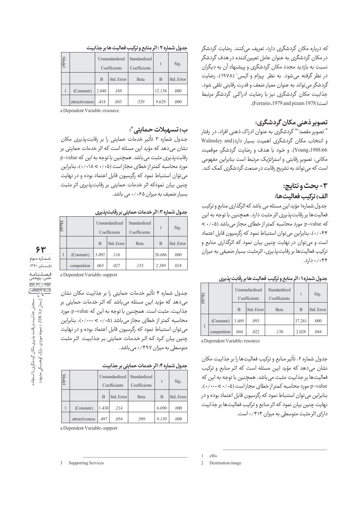که درباره مکان گردشگری دارد، تعریف میکنند. رضایت گردشگر در مکان گردشگری به عنوان عامل تعیین *ک*ننده در هدف گردشگر نسبت به بازدید مجدد مکان گردشگری و پیشنهاد آن به دیگران در نظر گرفته میشود. به نظر پیزام و الیس` (۱۹۷۸)، رضایت گردشگر میتواند به عنوان معیار ضعف و قدرت رقابتی تلقی شود. جذابیت مکان گردشگری نیز با رضایت ادراکی گردشگر مرتبط .(Ferrario,1979 and pizam 1978)

#### <mark>تصویر ذهنی مکان گردشگری:</mark>

" تصویر مقصد<sup>۴</sup>" گردشگری به عنوان ادراک ذهنی افراد، در رفتار walmsley and) و انتخاب مكان گردشگرى اهميت بسيار دارد 66: Young,1988). و خود يا هدف و رضايت گردشگر، موقعيت مکانی، تصویر رقابتی و استراتژیک مرتبط است بنابراین مفهومی است که می تواند به تشریح رقابت در صنعت گردشگری کمک کند.

## **:ǯɌÌǞǨăǛÓǤ -۳ :ÌĈǚǡüÌçțǘǡôØǦ (ȖüË**

جدول شماره۱ مؤید این مسئله می باشد که اثرگذاری منابع و ترکیب فعالیتها بر رقابت پذیری اثر مثبت دارد. همچنین با توجه به این  $\langle \cdot \rangle$ که p-value مورد محاسبه کمتر از خطای مجاز می باشد (۰/۰۵ > ÕÌÿNJèËúȷÌȈȔĄǍÜØø× Ćô ÕĄÿǔáÌLjnjNJÜËȔËĄǒĊĀȖȸËØȷÌnjǐ ،(۰/۰۴۴ است و می توان در نهایت چنین بیان نمود که اثرگذاری منابع و ترکیب فعالیتها بر رقابت پذیری، اثرمثبت بسیار ضعیفی به میزان  $.$ ۰/۰۴۴

| Model |             | Unstandardized<br>Coefficients |            | Standardized<br>Coefficients | $\mathbf{t}$ | Sig.       |
|-------|-------------|--------------------------------|------------|------------------------------|--------------|------------|
|       |             | B                              | Std. Error | Beta                         | B            | Std. Error |
|       | (Constant)  | 3.469                          | .093       |                              | 37.261       | .000       |
|       | competition | .044                           | .022       | .130                         | 2.028        | .044       |

جدول شماره ۱ : اثر منابع و ترکیب فعالیت ها بر رقابت پذیری

a Dependent Variable: resource

جدول شماره ۲، تأثير منابع و تركيب فعاليتها را بر جذابيت مكان نشان میدهد که مؤید این مسئله است که اثر منابع و ترکیب فعالیتها بر جذابیت مثبت می باشد. همچنین با توجه به این که p-value مورد محاسبه كمتراز خطاى مجازاست (۰/۰۰۰×۰/۰۰)، بنابراین میتوان استنباط نمود که رگرسیون قابل اعتماد بوده و در نهايت چنين بيان نمود كه اثر منابع و تركيب فعاليتها بر جذابيت دارای اثر مثبت متوسطی به میزان ۰/۴۱۴ است.

#### جدول شماره **۲ : اثر منابع و ترکیب فعالیت ها بر جذابیت**

| Model |                | Unstandardized<br>Coefficients |            | Standardized<br>Coefficients | t      | Sig.       |
|-------|----------------|--------------------------------|------------|------------------------------|--------|------------|
|       |                | B                              | Std. Error | Beta                         | B      | Std. Error |
|       | (Constant)     | 2.048                          | .169       |                              | 12.138 | .000       |
|       | attractiveness | .414                           | .043       | .529                         | 9.629  | .000       |

a Dependent Variable: resource

#### ب<sub>)</sub> تسهیلات حمایتی":

جدول شماره ٣ تأثير خدمات حمايتي را بر رقابت پذيرى مكان نشان میدهد که مؤید این مسئله است که اثر خدمات حمایتی بر رقابت یذیری مثبت می باشد. همچنین با توجه به این که p-value مورد محاسبه كمتر از خطاى مجازاست (۰/۰۰۸ </۰/۰)، بنابراين می توان استنباط نمود که رگرسیون قابل اعتماد بوده و در نهایت چنین بیان نمودکه اثر خدمات حمایتی بر رقابت پذیری اثر مثبت بسیار ضعیف به میزان ۰/۰۶۵ می باشد.

#### ج*د*ول شماره ۳: اثر خدمات حمایتی بر رقابت پذیری

|  |             |       | Unstandardized<br>Coefficients | Standardized<br>Coefficients | t      | Sig.       |
|--|-------------|-------|--------------------------------|------------------------------|--------|------------|
|  |             | B     | Std. Error                     | Beta                         | B      | Std. Error |
|  | (Constant)  | 3.092 | .116                           |                              | 26.686 | .000       |
|  | competition | .065  | .027                           | .153                         | 2.389  | .018       |

**۶۳** شـمـاره سوم .<br>نابستان ۱۳۹۱ فصلنامه علمی-پژوهشی ، ما المار، مصالعا<br><del>جا با</del>ج سنجش جذابیت و رقابت پذیری مکان گردشگری با استفاد<br>ازمدل (۱۳۵۲) (نمونه موردی : پارک کوهسنگی مشهد) سنجش جذابيت و رقابت پذيري مكان گردشگري با استفاده ازمدل (CA)۱ (نمونه موردي : پارک کوهسنگي مشهد)

a Dependent Variable: support

جدول شماره ۴ تأثير خدمات حمايتي را بر جذابيت مكان نشان میدهد که مؤید این مسئله میباشد که اثر خدمات حمایتی بر جذابيت، مثبت است. همچنين با توجه به اين كه p-value مورد محاسبه کمتر از خطای مجاز میباشد (۰/۰۵ > ۰/۰۰)، بنابراین می توان استنباط نمود که رگرسیون قابل اعتماد بوده و در نهایت چنین بیان کرد که اثر خدمات حمایتی بر جذابیت اثر مثبت متوسطی به میزان ۴۹۷/۴۹۷ می باشد.

#### جدول شماره ۴: اثر خدمات حما*یتی ب*ر جذابیت

| Model |                |       | Unstandardized<br>Coefficients | Standardized<br>Coefficients | t     | Sig.       |
|-------|----------------|-------|--------------------------------|------------------------------|-------|------------|
|       |                | B     | Std. Error                     | Beta                         | B     | Std. Error |
|       | (Constant)     | 1.430 | .214                           |                              | 6.690 | .000       |
|       | attractiveness | 497   | .054                           | .509                         | 9.139 | .000       |

a Dependent Variable: support

ellis

Destination image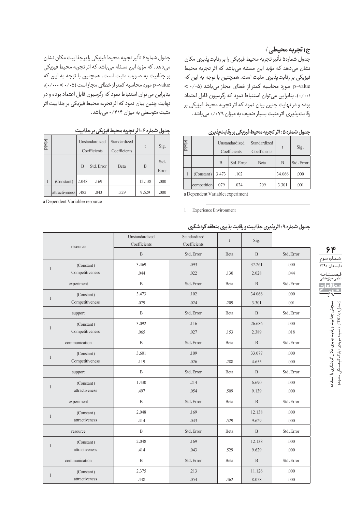## ج) تجربه محیطی':

جدول شماره۵ تأثير تجربه محيط فيزيكي را بر رقابت يذيري مكان نشان میدهد که مؤید این مسئله میباشد که اثر تجربه محیط فيزيكي بر رقابت يذيري مثبت است. همچنين با توجه به اين كه p-value مورد محاسبه كمتر از خطاى مجاز مى باشد (۰/۰۵ > ۰/۰۰۱)، بنابراین می توان استنباط نمود که رگرسیون قابل اعتماد بوده و در نهايت چنين بيان نمود كه اثر تجربه محيط فيزيكي بر رقابت یذیری اثر مثبت بسیار ضعیف به میزان ۰/۰۷۹ می باشد.

جدول شماره۶ تأثير تجربه محيط فيزيكي را برجذابيت مكان نشان می دهد. که مؤید این مسئله می باشد که اثر تجربه محیط فیزیکی بر جذابيت به صورت مثبت است. همچنين با توجه به اين كه p-value مورد محاسبه كمتراز خطاي مجازاست (۰/۰۰۰×۰۰۰۰)، بنابراین میتوان استنباط نمود که رگرسیون قابل اعتماد بوده و در نهایت چنین بیان نمود که اثر تجربه محیط فیزیکی بر جذابیت اثر مثبت متوسطى به ميزان ۰/۴۱۴ مى باشد.

| جدول شماره ۶ : اثر تجربه محیط فیزیکی بر جذابیت |  |  |
|------------------------------------------------|--|--|
|------------------------------------------------|--|--|

| Model |                | Unstandardized<br>Coefficients |            | Standardized<br>Coefficients | t      | Sig.          |
|-------|----------------|--------------------------------|------------|------------------------------|--------|---------------|
|       |                | B                              | Std. Error | Beta                         | B      | Std.<br>Error |
|       | (Constant)     | 2.048                          | .169       |                              | 12.138 | .000          |
|       | attractiveness | .482                           | .043       | .529                         | 9.629  | .000          |

a Dependent Variable: resource

| جدول شماره ۵ : اثر تجربه محیط فیزیکی بر رقابتپذیری |  |  |  |  |
|----------------------------------------------------|--|--|--|--|
|----------------------------------------------------|--|--|--|--|

| Model |             |       | Unstandardized<br>Coefficients | Standardized<br>Coefficients | t      | Sig.       |
|-------|-------------|-------|--------------------------------|------------------------------|--------|------------|
|       |             | B     | Std. Error                     | Beta                         | B      | Std. Error |
|       | (Constant)  | 3.473 | .102                           |                              | 34.066 | .000       |
|       | competition | .079  | .024                           | .209                         | 3.301  | .001       |

a Dependent Variable: experiment

1 Experience Environment

| جدول شماره ۹ : اثرپذیری جذابیت و رقابت پذیری منطقه گردشگری |  |  |  |  |
|------------------------------------------------------------|--|--|--|--|
|------------------------------------------------------------|--|--|--|--|

| resource     |                 | Unstandardized<br>Coefficients | Standardized<br>Coefficients | $\mathbf{t}$ | Sig.         |            |
|--------------|-----------------|--------------------------------|------------------------------|--------------|--------------|------------|
|              |                 | $\mathbf{B}$                   | Std. Error                   | Beta         | B            | Std. Error |
|              | (Constant)      | 3.469                          | .093                         |              | 37.261       | .000       |
| $\mathbf{1}$ | Competitiveness | .044                           | .022                         | .130         | 2.028        | .044       |
|              | experiment      | $\, {\bf B}$                   | Std. Error                   | Beta         | $\, {\bf B}$ | Std. Error |
|              | (Constant)      | 3.473                          | .102                         |              | 34.066       | .000       |
| $\mathbf{1}$ | Competitiveness | .079                           | .024                         | .209         | 3.301        | .001       |
|              | support         | B                              | Std. Error                   | Beta         | $\mathbf B$  | Std. Error |
| $\mathbf{1}$ | (Constant)      | 3.092                          | .116                         |              | 26.686       | .000       |
|              | Competitiveness | .065                           | .027                         | .153         | 2.389        | .018       |
|              | communication   | $\, {\bf B}$                   | Std. Error                   | Beta         | B            | Std. Error |
|              | (Constant)      | 3.601                          | .109                         |              | 33.077       | .000       |
| $\mathbf{1}$ | Competitiveness | .119                           | .026                         | .288         | 4.655        | .000       |
|              | support         | $\, {\bf B}$                   | Std. Error                   | Beta         | B            | Std. Error |
|              | (Constant)      | 1.430                          | .214                         |              | 6.690        | .000       |
| $\mathbf{1}$ | attractiveness  | .497                           | .054                         | .509         | 9.139        | .000       |
|              | experiment      | $\mathbf{B}$                   | Std. Error                   | Beta         | $\mathbf{B}$ | Std. Error |
|              | (Constant)      | 2.048                          | .169                         |              | 12.138       | .000       |
| $\mathbf{1}$ | attractiveness  | .414                           | .043                         | .529         | 9.629        | .000       |
|              | resource        | $\, {\bf B}$                   | Std. Error                   | Beta         | B            | Std. Error |
|              | (Constant)      | 2.048                          | .169                         |              | 12.138       | .000       |
| 1            | attractiveness  | .414                           | .043                         | .529         | 9.629        | .000       |
|              | communication   | $\mathbf{B}$                   | Std. Error                   | Beta         | $\mathbf{B}$ | Std. Error |
|              | (Constant)      | 2.375                          | .213                         |              | 11.126       | .000       |
| $\mathbf{1}$ | attractiveness  | .438                           | .054                         | .462         | 8.058        | .000       |

**۶۴** شـمـاره سوم -<br>تابستان ۱۳۹۱ فــصــلــنـــامــه<br>علمى-پژوهشى سنجش جذابيت ورقابت پذيرى مكان گردشگرى با استفاد از مدل (DCA) ( نمونه موردي : پارک کوهسنگي مشهد) سنجش جذابيت ورقابت يذيري مكان گردشگري با استفاده از مدل (TDCA) ( نمونه موردي : یارک کوهسنگے <sub>)</sub> مشهد)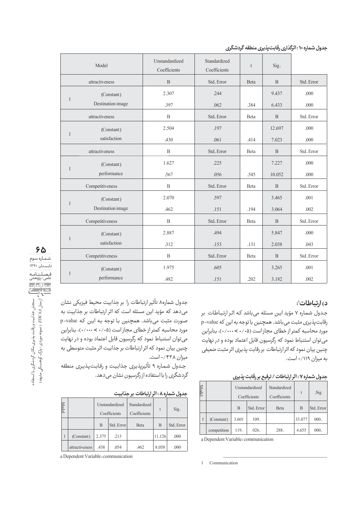| Model        |                   | Unstandardized<br>Coefficients | Standardized<br>Coefficients | t    | Sig.           |            |
|--------------|-------------------|--------------------------------|------------------------------|------|----------------|------------|
|              | attractiveness    | $\mathbf{B}$                   | Std. Error                   | Beta | $\mathbf{B}$   | Std. Error |
|              | (Constant)        | 2.307                          | .244                         |      | 9.437          | .000       |
| $\mathbf{1}$ | Destination image | .397                           | .062                         | .384 | 6.433          | .000       |
|              | attractiveness    | $\mathbf{B}$                   | Std. Error                   | Beta | B              | Std. Error |
|              | (Constant)        | 2.504                          | .197                         |      | 12.697         | .000       |
| $\mathbf{1}$ | satisfaction      | .430                           | .061                         | .414 | 7.023          | .000       |
|              | attractiveness    | $\, {\bf B}$                   | Std. Error                   | Beta | $\mathbf{B}$   | Std. Error |
|              | (Constant)        | 1.627                          | .225                         |      | 7.227          | .000       |
| $\mathbf{1}$ | performance       | .567                           | .056                         | .545 | 10.052         | .000       |
|              | Competitiveness   | $\mathbf B$                    | Std. Error                   | Beta | B              | Std. Error |
|              | (Constant)        | 2.070                          | .597                         |      | 3.465          | .001       |
| $\mathbf{1}$ | Destination image | .462                           | .151                         | .194 | 3.064          | .002       |
|              | Competitiveness   | $\overline{B}$                 | Std. Error                   | Beta | $\overline{B}$ | Std. Error |
|              | (Constant)        | 2.887                          | .494                         |      | 5.847          | .000       |
| $\mathbf{1}$ | satisfaction      | 312                            | .153                         | .131 | 2.038          | .043       |
|              | Competitiveness   | $\mathbf{B}$                   | Std. Error                   | Beta | B              | Std. Error |
|              | (Constant)        | 1.975                          | .605                         |      | 3.265          | .001       |
| $\mathbf{1}$ | performance       | .482                           | .151                         | .202 | 3.182          | .002       |

# **۶۵** شـمـاره سوم ـ<br>تابستان ۱۳۹۱ فـصـلـنـامـه<br><sup>علمى-پ</sup>ژوهشى <mark>: ا</mark><br><mark>بعا</mark> پر/ ازمدل (۱۳)د/ID (نمونه موردی : پارک کردشگری با استفاده<br>۱۴)<br>۱۴) استجش (نمدل (۱۳)درا) (نمونه موردی : پارک کوهسنگی مشهد) سنجش جذابيت و رقابت پذيري مكان گردشگري با استفاده ازمدل (CA)۱ (نمونه موردي : پارک کوهسنگي مشهد)

## **:۱ ǖÌäÌǜǦ×Ë (Õ**

جـدول شمـاره ۷ مؤید ایـن مسئله می باشد کـه اثـر ارتـبـاطـات بر رقابت یذیری مثبت می باشد. همچنین با توجه به این که p-value مورد محاسبه کمتر از خطای مجاز است (۰/۰۰۰ > ۰۰۰/۰۰)، بنابراین می توان استنباط نمود که رگرسیون قابل اعتماد بوده و در نهایت چنین بیان نمود که اثر ارتباطات بر رقابت پذیری اثر مثبت ضعیفی به میزان ۰/۱۱۹ است.

**ĉØɌǹǥǚǤÌȜ× ØɋæǡțØǦ / ǖÌäÌǜǦ×Ë ØǧË : ۷ą×ÌÿȃùăÖǵ**

|  |             | Unstandardized<br>Coefficients |            | Standardized<br>Coefficients | t      | .Sig       |
|--|-------------|--------------------------------|------------|------------------------------|--------|------------|
|  |             | B                              | Std. Error | Beta                         | B      | Std. Error |
|  | (Constant)  | 3.601                          | 109.       |                              | 33.077 | 000.       |
|  | competition | 119.                           | 026.       | 288.                         | 4.655  | 000.       |

a Dependent Variable: communication

1 Communication

جدول شماره۸ تأثير ارتباطات را بر جذابيت محيط فيزيكي نشان می دهد که مؤید این مسئله است که اثر ارتباطات بر جذابیت به صورت مثبت مي باشد. همچنين با توجه به اين كه p-value مورد محاسبه كمتر از خطاى مجاز است (۰/۰۰۰ > ۰/۰۰)، بنابراين می توان استنباط نمود که رگرسیون قابل اعتماد بوده و در نهایت چنین بیان نمود که اثر ارتباطات بر جذابیت اثر مثبت متوسطی به ميزان ۰/۴۳۸ است.

جدول شماره ۹ تأثيرپذيرى جذابيت و رقابتپذيرى منطقه گردشگری را با استفاده از رگرسیون نشان می دهد.

جدول شماره A : اثر ارتباطات بر جذابيت

| Model |                | Unstandardized<br>Coefficients |            | Standardized<br>Coefficients | t      | Sig.       |
|-------|----------------|--------------------------------|------------|------------------------------|--------|------------|
|       |                | B                              | Std. Error | Beta                         | B      | Std. Error |
|       | (Constant)     | 2.375                          | .213       |                              | 11.126 | .000       |
|       | attractiveness | .438                           | .054       | .462                         | 8.058  | .000       |

a Dependent Variable: communication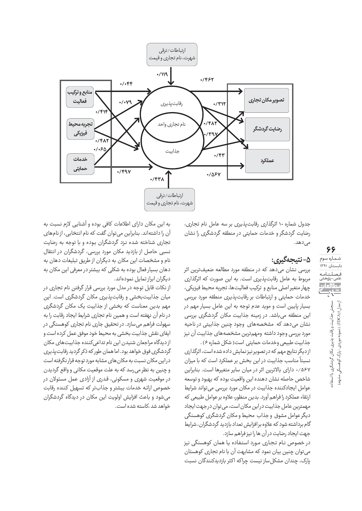

جدول شماره ۱۰ اثرگذاری رقابت پذیری بر سه عامل نام تجاری، رضایت گردشگر و خدمات حمایتی در منطقه گردشگری را نشان مے ،رھد.

## **:ĉØǡøĆDzǡǞǨ -۵**

بررسی نشان می دهد که در منطقه مورد مطالعه ضعیفترین اثر مربوط به عامل رقابت پذیری است. به این صورت که اثرگذاری چهار متغیر اصلی منابع و ترکیب فعالیتها، تجربه محیط فیزیکی، خدمات حمایتی و ارتباطات بر رقابت پذیری منطقه مورد بررسی بسيار بايين است و مويد عدم توجه به اين عامل بسيار مهم در این منطقه میباشد. در زمینه جذابیت مکان گردشگری بررسی نشان می دهد که مشخصههای وجود چنین جذابیتی در ناحیه مورد بررسی وجود داشته ومهمترین مشخصههای جذابیت آن نیز حذابيت طبيعي وخدمات حمايتي است( شكل شماره ۶) .

از دیگر نتایج مهم که در تصویر نیز نمایش داده شده است، اثرگذاری ر شمال ۱۳۹۳ میل کرد.<br>نسبتاً مناسب جذابیت در این بخش بر عملکرد است که با میزان ۰/۵۶۷ دارای بالاترین اثر در میان سایر متغیرها است. بنابراین شاخص حاصله نشان دهنده این واقعیت بوده که بهبود و توسعه غوامل ایجادکننده جذابیت در مکان مورد بررسی می تواند شرایط ارتقاء عملكرد را فراهم آورد. بدين منظور، علاوه بر عوامل طبيعي كه مهمترین عامل جذابیت دراین مکان است، می توان درجهت ایجاد ديگرعوامل مشوق و حذاب محيط و مكان گردشگرى كوهسنگى گام برداشته شود که علاوه بر افزایش تعداد بازدید گردشگران، شرایط جهت ایجاد رضایت در آن ها را نیز فراهم سازد.

در خصوص نـام تجـاري مـورد استفاده يـا همان كوهسنگي نيز می توان چنین بیان نمود که مشابهت آن با نام تجاری کوهستان بارک، چندان مشکل ساز نیست چراکه اکثر بازدیدکنندگان نسبت

به این مکان دارای اطلاعات کافی بوده و آشنایی لازم نسبت به آن را داشتهاند. بنابراین می توان گفت که نام انتخابی، از نامهای تجاری شناخته شده نزد گردشگران بوده و با توجه به رضایت نسبی حاصل از بازدید مکان مورد بررسی، گردشگران در انتقال نام و مشخصات این مکان به دیگران از طریق تبلیغات دهان به دهان بسیار فعال بوده به شکلی که بیشتر در معرفی این مکان به دیگران ابراز تمایل نمودهاند.

از نکات قابل توجه در مدل مورد بررسی قرار گرفتن نام تجاری در میان جذابیتبخشی و رقابتبذیری مکان گردشگری است. این مهم بدین معناست که بخشی از جذابیت یک مکان گردشگری در نام آن نهفته است و همین نام تجاری شرایط ایجاد رقابت را به سهولت فراهم می سازد. در تحقیق جاری نام تجاری کوهسنگی در ایفای نقش جذابیت بخشی به محیط خود موفق عمل کرده است و از دیدگاه مراجعان شنیدن این نام تداعی کننده جذابیتهای مکان گردشگری فوق خواهد بود. اما همان طور که ذکر گردید رقابت پذیری دراین مکان نسبت به مکان های مشابه مورد توجه قرار نگرفته است و چنين به نظر مي رسد كه به علت موقعيت مكاني و واقع گرديدن در موقعیت شهری و مسکونی، قدری از آزادی عمل مسئولان در خصوص ارائه خدمات بيشتر و جذابتر كه تسهيل كننده رقابت می شود و باعث افزایش اولویت این مکان در دیدگاه گردشگران خواهد شد ،کاسته شده است.